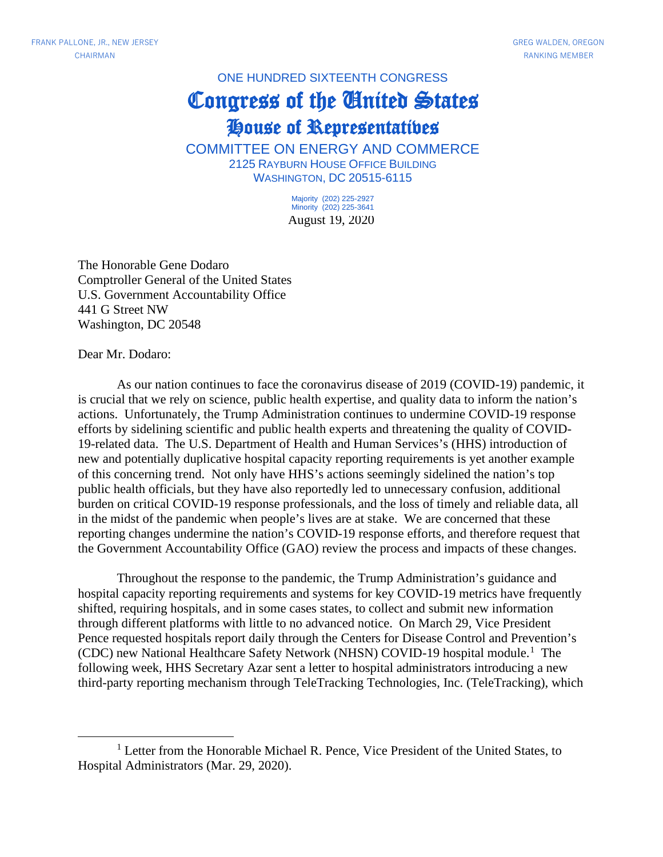## ONE HUNDRED SIXTEENTH CONGRESS

## Congress of the United States House of Representatives

COMMITTEE ON ENERGY AND COMMERCE 2125 RAYBURN HOUSE OFFICE BUILDING WASHINGTON, DC 20515-6115

> August 19, 2020 Majority (202) 225-2927 Minority (202) 225-3641

The Honorable Gene Dodaro Comptroller General of the United States U.S. Government Accountability Office 441 G Street NW Washington, DC 20548

Dear Mr. Dodaro:

As our nation continues to face the coronavirus disease of 2019 (COVID-19) pandemic, it is crucial that we rely on science, public health expertise, and quality data to inform the nation's actions. Unfortunately, the Trump Administration continues to undermine COVID-19 response efforts by sidelining scientific and public health experts and threatening the quality of COVID-19-related data. The U.S. Department of Health and Human Services's (HHS) introduction of new and potentially duplicative hospital capacity reporting requirements is yet another example of this concerning trend. Not only have HHS's actions seemingly sidelined the nation's top public health officials, but they have also reportedly led to unnecessary confusion, additional burden on critical COVID-19 response professionals, and the loss of timely and reliable data, all in the midst of the pandemic when people's lives are at stake. We are concerned that these reporting changes undermine the nation's COVID-19 response efforts, and therefore request that the Government Accountability Office (GAO) review the process and impacts of these changes.

Throughout the response to the pandemic, the Trump Administration's guidance and hospital capacity reporting requirements and systems for key COVID-19 metrics have frequently shifted, requiring hospitals, and in some cases states, to collect and submit new information through different platforms with little to no advanced notice. On March 29, Vice President Pence requested hospitals report daily through the Centers for Disease Control and Prevention's (CDC) new National Healthcare Safety Network (NHSN) COVID-19 hospital module. [1](#page-0-0) The following week, HHS Secretary Azar sent a letter to hospital administrators introducing a new third-party reporting mechanism through TeleTracking Technologies, Inc. (TeleTracking), which

<span id="page-0-0"></span><sup>&</sup>lt;sup>1</sup> Letter from the Honorable Michael R. Pence, Vice President of the United States, to Hospital Administrators (Mar. 29, 2020).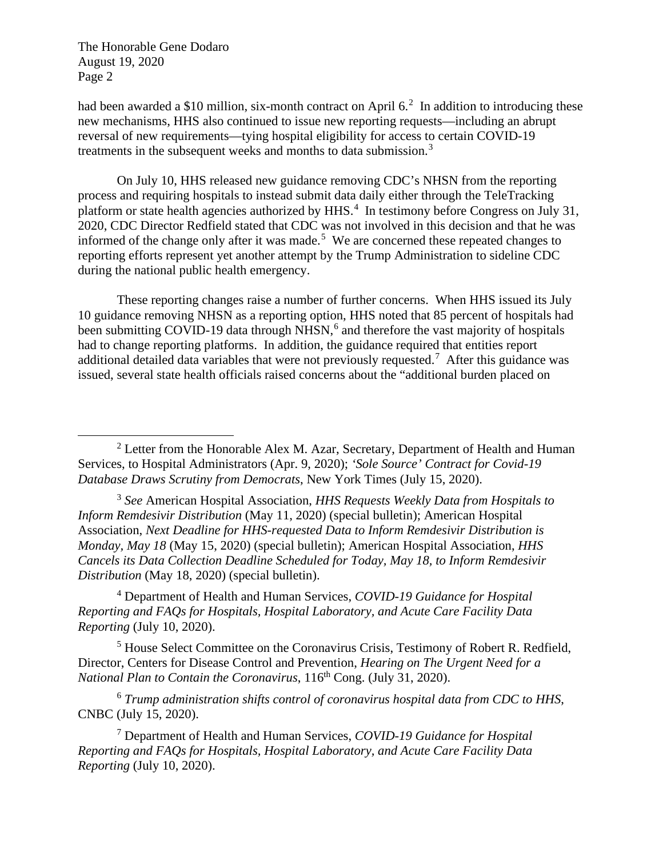had been awarded a \$10 million, six-month contract on April 6.<sup>[2](#page-1-0)</sup> In addition to introducing these new mechanisms, HHS also continued to issue new reporting requests—including an abrupt reversal of new requirements—tying hospital eligibility for access to certain COVID-19 treatments in the subsequent weeks and months to data submission.<sup>[3](#page-1-1)</sup>

On July 10, HHS released new guidance removing CDC's NHSN from the reporting process and requiring hospitals to instead submit data daily either through the TeleTracking platform or state health agencies authorized by HHS.<sup>[4](#page-1-2)</sup> In testimony before Congress on July 31, 2020, CDC Director Redfield stated that CDC was not involved in this decision and that he was informed of the change only after it was made.<sup>[5](#page-1-3)</sup> We are concerned these repeated changes to reporting efforts represent yet another attempt by the Trump Administration to sideline CDC during the national public health emergency.

These reporting changes raise a number of further concerns. When HHS issued its July 10 guidance removing NHSN as a reporting option, HHS noted that 85 percent of hospitals had been submitting COVID-19 data through NHSN,<sup>[6](#page-1-4)</sup> and therefore the vast majority of hospitals had to change reporting platforms. In addition, the guidance required that entities report additional detailed data variables that were not previously requested.<sup>[7](#page-1-5)</sup> After this guidance was issued, several state health officials raised concerns about the "additional burden placed on

<span id="page-1-1"></span><sup>3</sup> *See* American Hospital Association, *HHS Requests Weekly Data from Hospitals to Inform Remdesivir Distribution* (May 11, 2020) (special bulletin); American Hospital Association, *Next Deadline for HHS-requested Data to Inform Remdesivir Distribution is Monday, May 18* (May 15, 2020) (special bulletin); American Hospital Association, *HHS Cancels its Data Collection Deadline Scheduled for Today, May 18, to Inform Remdesivir Distribution* (May 18, 2020) (special bulletin).

<span id="page-1-2"></span><sup>4</sup> Department of Health and Human Services, *COVID-19 Guidance for Hospital Reporting and FAQs for Hospitals, Hospital Laboratory, and Acute Care Facility Data Reporting* (July 10, 2020).

<span id="page-1-3"></span><sup>5</sup> House Select Committee on the Coronavirus Crisis, Testimony of Robert R. Redfield, Director, Centers for Disease Control and Prevention, *Hearing on The Urgent Need for a National Plan to Contain the Coronavirus*, 116<sup>th</sup> Cong. (July 31, 2020).

<span id="page-1-4"></span><sup>6</sup> *Trump administration shifts control of coronavirus hospital data from CDC to HHS*, CNBC (July 15, 2020).

<span id="page-1-5"></span><sup>7</sup> Department of Health and Human Services, *COVID-19 Guidance for Hospital Reporting and FAQs for Hospitals, Hospital Laboratory, and Acute Care Facility Data Reporting* (July 10, 2020).

<span id="page-1-0"></span><sup>&</sup>lt;sup>2</sup> Letter from the Honorable Alex M. Azar, Secretary, Department of Health and Human Services, to Hospital Administrators (Apr. 9, 2020); *'Sole Source' Contract for Covid-19 Database Draws Scrutiny from Democrats*, New York Times (July 15, 2020).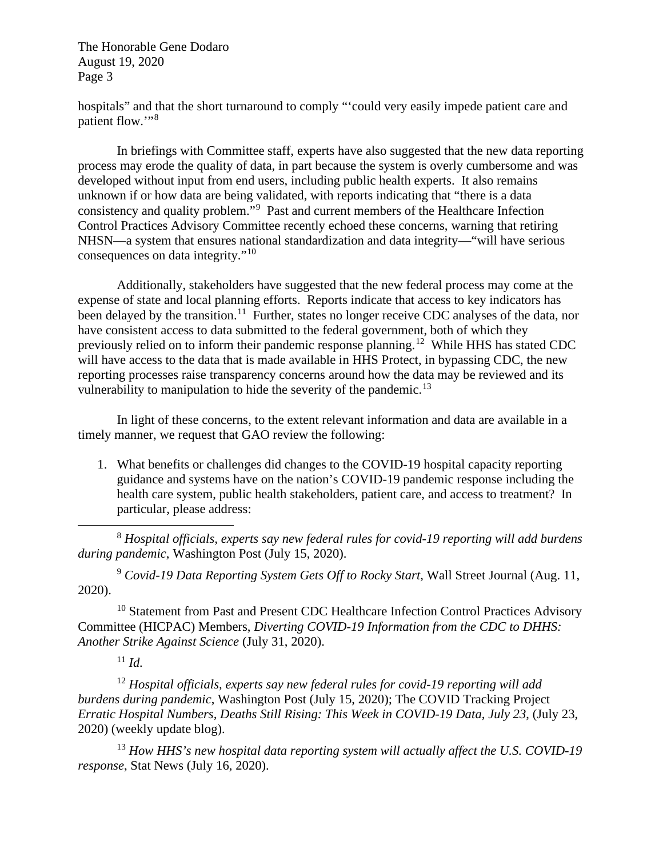hospitals" and that the short turnaround to comply "'could very easily impede patient care and patient flow."<sup>[8](#page-2-0)</sup>

In briefings with Committee staff, experts have also suggested that the new data reporting process may erode the quality of data, in part because the system is overly cumbersome and was developed without input from end users, including public health experts. It also remains unknown if or how data are being validated, with reports indicating that "there is a data consistency and quality problem."<sup>[9](#page-2-1)</sup> Past and current members of the Healthcare Infection Control Practices Advisory Committee recently echoed these concerns, warning that retiring NHSN—a system that ensures national standardization and data integrity—"will have serious consequences on data integrity."[10](#page-2-2) 

Additionally, stakeholders have suggested that the new federal process may come at the expense of state and local planning efforts. Reports indicate that access to key indicators has been delayed by the transition.<sup>11</sup> Further, states no longer receive CDC analyses of the data, nor have consistent access to data submitted to the federal government, both of which they previously relied on to inform their pandemic response planning.<sup>[12](#page-2-4)</sup> While HHS has stated CDC will have access to the data that is made available in HHS Protect, in bypassing CDC, the new reporting processes raise transparency concerns around how the data may be reviewed and its vulnerability to manipulation to hide the severity of the pandemic.<sup>[13](#page-2-5)</sup>

In light of these concerns, to the extent relevant information and data are available in a timely manner, we request that GAO review the following:

1. What benefits or challenges did changes to the COVID-19 hospital capacity reporting guidance and systems have on the nation's COVID-19 pandemic response including the health care system, public health stakeholders, patient care, and access to treatment? In particular, please address:

<span id="page-2-0"></span><sup>8</sup> *Hospital officials, experts say new federal rules for covid-19 reporting will add burdens during pandemic*, Washington Post (July 15, 2020).

<span id="page-2-1"></span><sup>9</sup> *Covid-19 Data Reporting System Gets Off to Rocky Start*, Wall Street Journal (Aug. 11, 2020).

<span id="page-2-2"></span><sup>10</sup> Statement from Past and Present CDC Healthcare Infection Control Practices Advisory Committee (HICPAC) Members, *Diverting COVID-19 Information from the CDC to DHHS: Another Strike Against Science* (July 31, 2020).

 $11$  *Id.* 

<span id="page-2-4"></span><span id="page-2-3"></span><sup>12</sup> *Hospital officials, experts say new federal rules for covid-19 reporting will add burdens during pandemic*, Washington Post (July 15, 2020); The COVID Tracking Project *Erratic Hospital Numbers, Deaths Still Rising: This Week in COVID-19 Data, July 23*, (July 23, 2020) (weekly update blog).

<span id="page-2-5"></span><sup>13</sup> *How HHS's new hospital data reporting system will actually affect the U.S. COVID-19 response*, Stat News (July 16, 2020).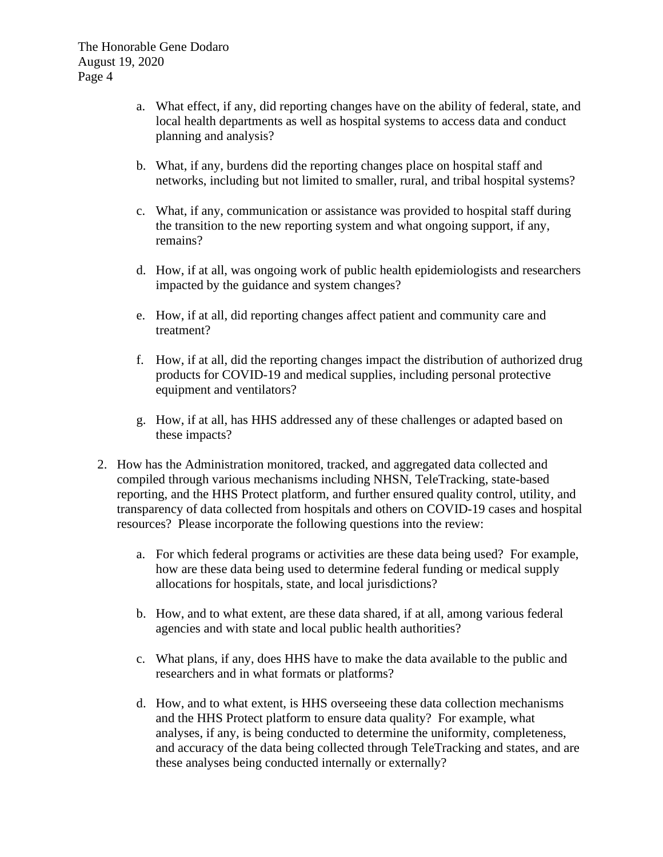- a. What effect, if any, did reporting changes have on the ability of federal, state, and local health departments as well as hospital systems to access data and conduct planning and analysis?
- b. What, if any, burdens did the reporting changes place on hospital staff and networks, including but not limited to smaller, rural, and tribal hospital systems?
- c. What, if any, communication or assistance was provided to hospital staff during the transition to the new reporting system and what ongoing support, if any, remains?
- d. How, if at all, was ongoing work of public health epidemiologists and researchers impacted by the guidance and system changes?
- e. How, if at all, did reporting changes affect patient and community care and treatment?
- f. How, if at all, did the reporting changes impact the distribution of authorized drug products for COVID-19 and medical supplies, including personal protective equipment and ventilators?
- g. How, if at all, has HHS addressed any of these challenges or adapted based on these impacts?
- 2. How has the Administration monitored, tracked, and aggregated data collected and compiled through various mechanisms including NHSN, TeleTracking, state-based reporting, and the HHS Protect platform, and further ensured quality control, utility, and transparency of data collected from hospitals and others on COVID-19 cases and hospital resources? Please incorporate the following questions into the review:
	- a. For which federal programs or activities are these data being used? For example, how are these data being used to determine federal funding or medical supply allocations for hospitals, state, and local jurisdictions?
	- b. How, and to what extent, are these data shared, if at all, among various federal agencies and with state and local public health authorities?
	- c. What plans, if any, does HHS have to make the data available to the public and researchers and in what formats or platforms?
	- d. How, and to what extent, is HHS overseeing these data collection mechanisms and the HHS Protect platform to ensure data quality? For example, what analyses, if any, is being conducted to determine the uniformity, completeness, and accuracy of the data being collected through TeleTracking and states, and are these analyses being conducted internally or externally?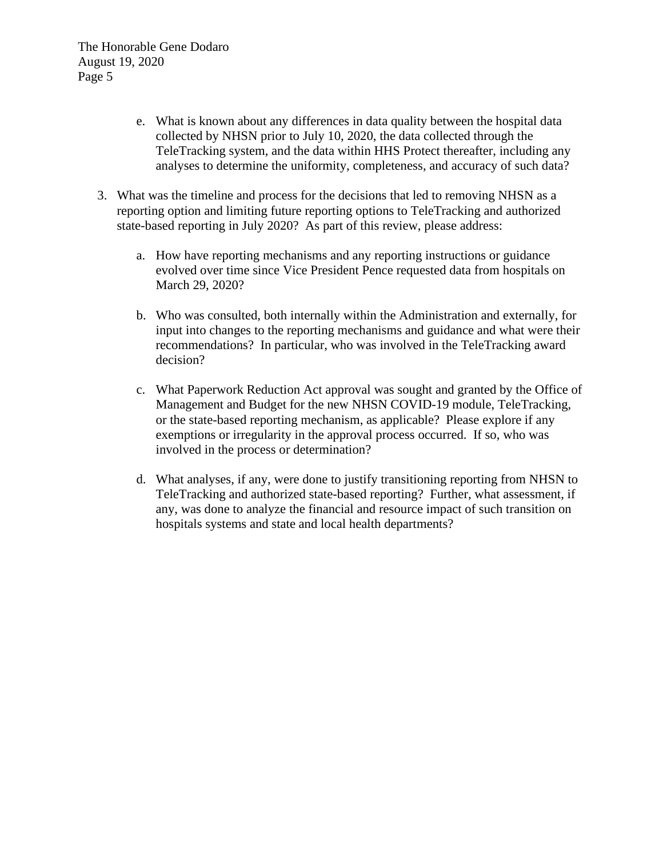- e. What is known about any differences in data quality between the hospital data collected by NHSN prior to July 10, 2020, the data collected through the TeleTracking system, and the data within HHS Protect thereafter, including any analyses to determine the uniformity, completeness, and accuracy of such data?
- 3. What was the timeline and process for the decisions that led to removing NHSN as a reporting option and limiting future reporting options to TeleTracking and authorized state-based reporting in July 2020? As part of this review, please address:
	- a. How have reporting mechanisms and any reporting instructions or guidance evolved over time since Vice President Pence requested data from hospitals on March 29, 2020?
	- b. Who was consulted, both internally within the Administration and externally, for input into changes to the reporting mechanisms and guidance and what were their recommendations? In particular, who was involved in the TeleTracking award decision?
	- c. What Paperwork Reduction Act approval was sought and granted by the Office of Management and Budget for the new NHSN COVID-19 module, TeleTracking, or the state-based reporting mechanism, as applicable? Please explore if any exemptions or irregularity in the approval process occurred. If so, who was involved in the process or determination?
	- d. What analyses, if any, were done to justify transitioning reporting from NHSN to TeleTracking and authorized state-based reporting? Further, what assessment, if any, was done to analyze the financial and resource impact of such transition on hospitals systems and state and local health departments?